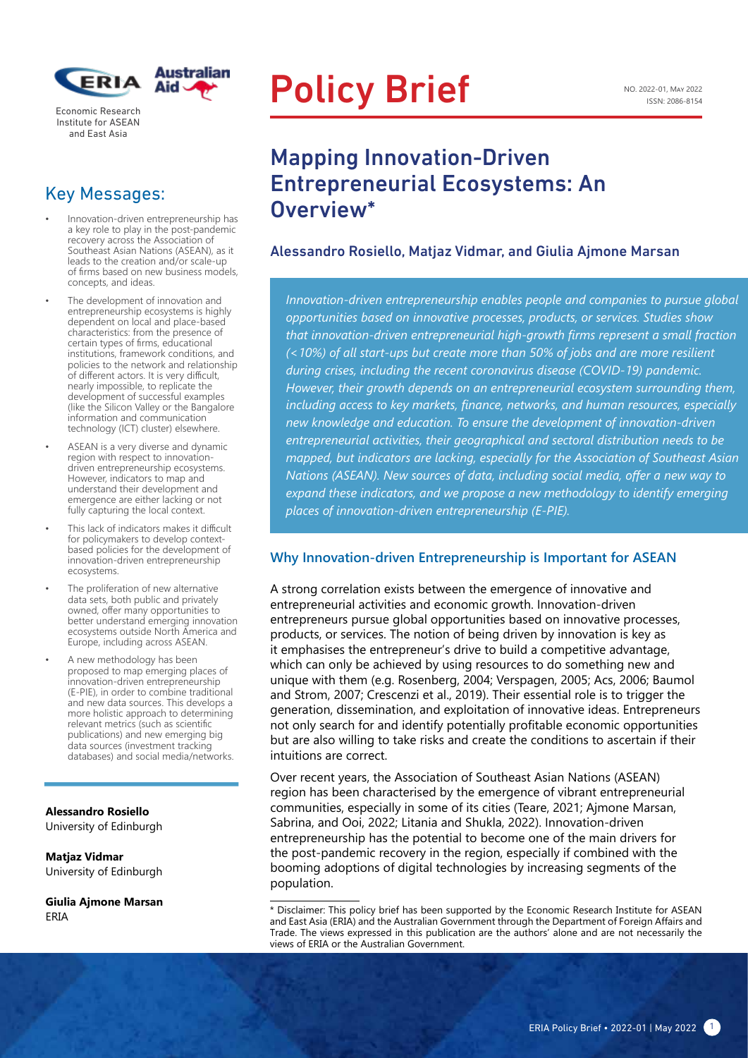

Economic Research Institute for ASEAN and East Asia

### Key Messages:

• Innovation-driven entrepreneurship has a key role to play in the post-pandemic recovery across the Association of Southeast Asian Nations (ASEAN), as it leads to the creation and/or scale-up of firms based on new business models, concepts, and ideas.

Ī

- The development of innovation and entrepreneurship ecosystems is highly dependent on local and place-based characteristics: from the presence of certain types of firms, educational institutions, framework conditions, and policies to the network and relationship of different actors. It is very difficult, nearly impossible, to replicate the development of successful examples (like the Silicon Valley or the Bangalore information and communication technology (ICT) cluster) elsewhere.
- ASEAN is a very diverse and dynamic region with respect to innovationdriven entrepreneurship ecosystems. However, indicators to map and understand their development and emergence are either lacking or not fully capturing the local context.
- This lack of indicators makes it difficult for policymakers to develop contextbased policies for the development of innovation-driven entrepreneurship ecosystems.
- The proliferation of new alternative data sets, both public and privately owned, offer many opportunities to better understand emerging innovation ecosystems outside North America and Europe, including across ASEAN.
- A new methodology has been proposed to map emerging places of innovation-driven entrepreneurship (E-PIE), in order to combine traditional and new data sources. This develops a more holistic approach to determining relevant metrics (such as scientific publications) and new emerging big data sources (investment tracking databases) and social media/networks.

**Alessandro Rosiello**  University of Edinburgh

**Matjaz Vidmar**  University of Edinburgh

**Giulia Ajmone Marsan** 

# Policy Brief

## Mapping Innovation-Driven Entrepreneurial Ecosystems: An Overview\*

#### Alessandro Rosiello, Matjaz Vidmar, and Giulia Ajmone Marsan

*Innovation-driven entrepreneurship enables people and companies to pursue global opportunities based on innovative processes, products, or services. Studies show that innovation-driven entrepreneurial high-growth firms represent a small fraction (<10%) of all start-ups but create more than 50% of jobs and are more resilient during crises, including the recent coronavirus disease (COVID-19) pandemic. However, their growth depends on an entrepreneurial ecosystem surrounding them, including access to key markets, finance, networks, and human resources, especially new knowledge and education. To ensure the development of innovation-driven entrepreneurial activities, their geographical and sectoral distribution needs to be mapped, but indicators are lacking, especially for the Association of Southeast Asian Nations (ASEAN). New sources of data, including social media, offer a new way to*  expand these indicators, and we propose a new methodology to identify emerging *places of innovation-driven entrepreneurship (E-PIE).* 

#### **Why Innovation-driven Entrepreneurship is Important for ASEAN**

A strong correlation exists between the emergence of innovative and entrepreneurial activities and economic growth. Innovation-driven entrepreneurs pursue global opportunities based on innovative processes, products, or services. The notion of being driven by innovation is key as it emphasises the entrepreneur's drive to build a competitive advantage, which can only be achieved by using resources to do something new and unique with them (e.g. Rosenberg, 2004; Verspagen, 2005; Acs, 2006; Baumol and Strom, 2007; Crescenzi et al., 2019). Their essential role is to trigger the generation, dissemination, and exploitation of innovative ideas. Entrepreneurs not only search for and identify potentially profitable economic opportunities but are also willing to take risks and create the conditions to ascertain if their intuitions are correct.

Over recent years, the Association of Southeast Asian Nations (ASEAN) region has been characterised by the emergence of vibrant entrepreneurial communities, especially in some of its cities (Teare, 2021; Ajmone Marsan, Sabrina, and Ooi, 2022; Litania and Shukla, 2022). Innovation-driven entrepreneurship has the potential to become one of the main drivers for the post-pandemic recovery in the region, especially if combined with the booming adoptions of digital technologies by increasing segments of the population.

ERIA<br>ERIA ERIA This policy brief has been supported by the Economic Research Institute for ASEAN<br>and East Asia (ERIA) and the Australian Covernment through the Department of Equation Affairs and and East Asia (ERIA) and the Australian Government through the Department of Foreign Affairs and Trade. The views expressed in this publication are the authors' alone and are not necessarily the views of ERIA or the Australian Government.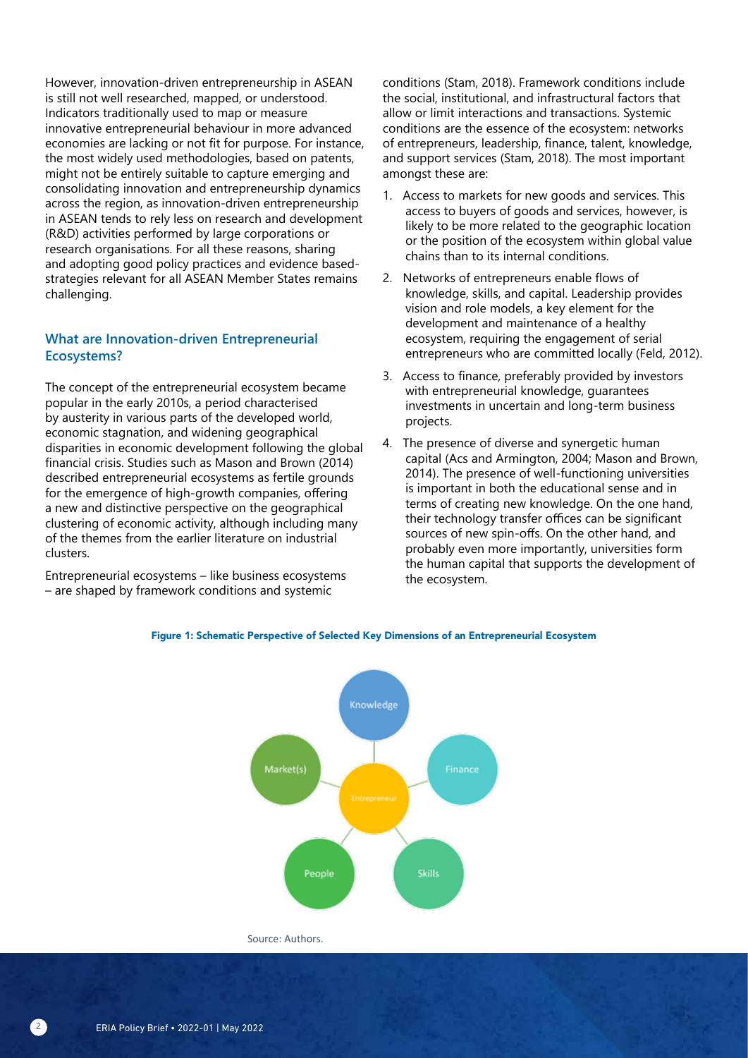However, innovation-driven entrepreneurship in ASEAN is still not well researched, mapped, or understood. Indicators traditionally used to map or measure innovative entrepreneurial behaviour in more advanced economies are lacking or not fit for purpose. For instance, the most widely used methodologies, based on patents, might not be entirely suitable to capture emerging and consolidating innovation and entrepreneurship dynamics across the region, as innovation-driven entrepreneurship in ASEAN tends to rely less on research and development (R&D) activities performed by large corporations or research organisations. For all these reasons, sharing and adopting good policy practices and evidence basedstrategies relevant for all ASEAN Member States remains challenging.

#### **What are Innovation-driven Entrepreneurial Ecosystems?**

The concept of the entrepreneurial ecosystem became popular in the early 2010s, a period characterised by austerity in various parts of the developed world, economic stagnation, and widening geographical disparities in economic development following the global financial crisis. Studies such as Mason and Brown (2014) described entrepreneurial ecosystems as fertile grounds for the emergence of high-growth companies, offering a new and distinctive perspective on the geographical clustering of economic activity, although including many of the themes from the earlier literature on industrial clusters.

Entrepreneurial ecosystems – like business ecosystems – are shaped by framework conditions and systemic

conditions (Stam, 2018). Framework conditions include the social, institutional, and infrastructural factors that allow or limit interactions and transactions. Systemic conditions are the essence of the ecosystem: networks of entrepreneurs, leadership, finance, talent, knowledge, and support services (Stam, 2018). The most important amongst these are:

- 1. Access to markets for new goods and services. This access to buyers of goods and services, however, is likely to be more related to the geographic location or the position of the ecosystem within global value chains than to its internal conditions.
- 2. Networks of entrepreneurs enable flows of knowledge, skills, and capital. Leadership provides vision and role models, a key element for the development and maintenance of a healthy ecosystem, requiring the engagement of serial entrepreneurs who are committed locally (Feld, 2012).
- 3. Access to finance, preferably provided by investors with entrepreneurial knowledge, guarantees investments in uncertain and long-term business projects.
- 4. The presence of diverse and synergetic human capital (Acs and Armington, 2004; Mason and Brown, 2014). The presence of well-functioning universities is important in both the educational sense and in terms of creating new knowledge. On the one hand, their technology transfer offices can be significant sources of new spin-offs. On the other hand, and probably even more importantly, universities form the human capital that supports the development of the ecosystem.



#### Figure 1: Schematic Perspective of Selected Key Dimensions of an Entrepreneurial Ecosystem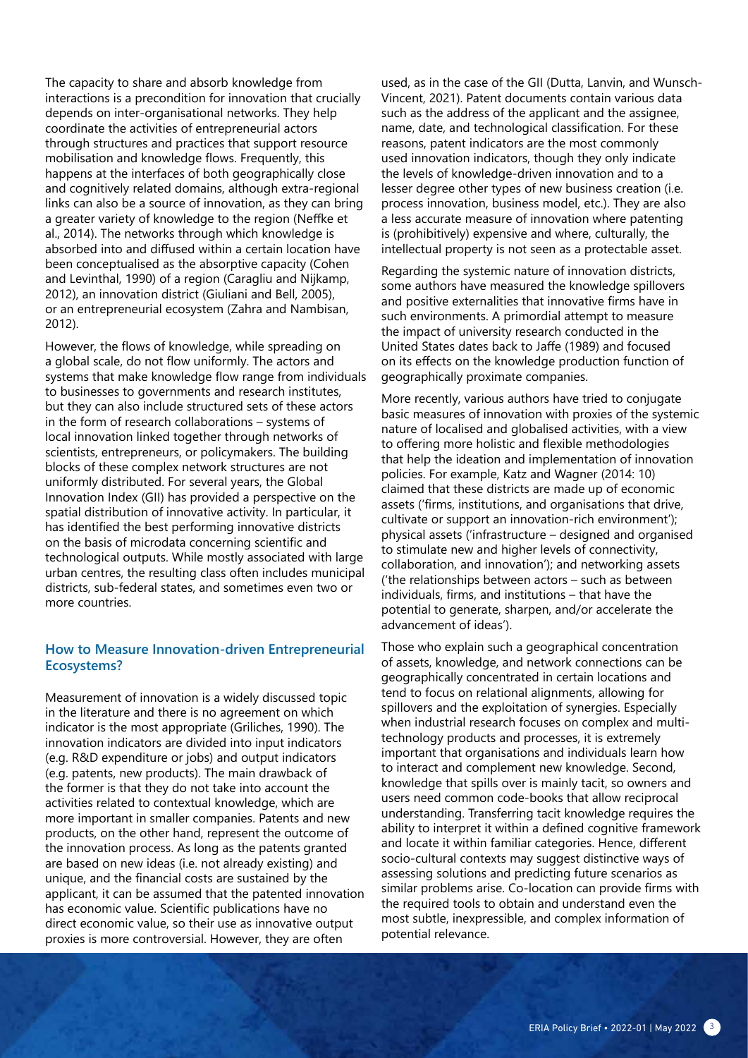The capacity to share and absorb knowledge from interactions is a precondition for innovation that crucially depends on inter-organisational networks. They help coordinate the activities of entrepreneurial actors through structures and practices that support resource mobilisation and knowledge flows. Frequently, this happens at the interfaces of both geographically close and cognitively related domains, although extra-regional links can also be a source of innovation, as they can bring a greater variety of knowledge to the region (Neffke et al., 2014). The networks through which knowledge is absorbed into and diffused within a certain location have been conceptualised as the absorptive capacity (Cohen and Levinthal, 1990) of a region (Caragliu and Nijkamp, 2012), an innovation district (Giuliani and Bell, 2005), or an entrepreneurial ecosystem (Zahra and Nambisan, 2012).

However, the flows of knowledge, while spreading on a global scale, do not flow uniformly. The actors and systems that make knowledge flow range from individuals to businesses to governments and research institutes, but they can also include structured sets of these actors in the form of research collaborations – systems of local innovation linked together through networks of scientists, entrepreneurs, or policymakers. The building blocks of these complex network structures are not uniformly distributed. For several years, the Global Innovation Index (GII) has provided a perspective on the spatial distribution of innovative activity. In particular, it has identified the best performing innovative districts on the basis of microdata concerning scientific and technological outputs. While mostly associated with large urban centres, the resulting class often includes municipal districts, sub-federal states, and sometimes even two or more countries.

#### **How to Measure Innovation-driven Entrepreneurial Ecosystems?**

Measurement of innovation is a widely discussed topic in the literature and there is no agreement on which indicator is the most appropriate (Griliches, 1990). The innovation indicators are divided into input indicators (e.g. R&D expenditure or jobs) and output indicators (e.g. patents, new products). The main drawback of the former is that they do not take into account the activities related to contextual knowledge, which are more important in smaller companies. Patents and new products, on the other hand, represent the outcome of the innovation process. As long as the patents granted are based on new ideas (i.e. not already existing) and unique, and the financial costs are sustained by the applicant, it can be assumed that the patented innovation has economic value. Scientific publications have no direct economic value, so their use as innovative output proxies is more controversial. However, they are often

used, as in the case of the GII (Dutta, Lanvin, and Wunsch-Vincent, 2021). Patent documents contain various data such as the address of the applicant and the assignee, name, date, and technological classification. For these reasons, patent indicators are the most commonly used innovation indicators, though they only indicate the levels of knowledge-driven innovation and to a lesser degree other types of new business creation (i.e. process innovation, business model, etc.). They are also a less accurate measure of innovation where patenting is (prohibitively) expensive and where, culturally, the intellectual property is not seen as a protectable asset.

Regarding the systemic nature of innovation districts, some authors have measured the knowledge spillovers and positive externalities that innovative firms have in such environments. A primordial attempt to measure the impact of university research conducted in the United States dates back to Jaffe (1989) and focused on its effects on the knowledge production function of geographically proximate companies.

More recently, various authors have tried to conjugate basic measures of innovation with proxies of the systemic nature of localised and globalised activities, with a view to offering more holistic and flexible methodologies that help the ideation and implementation of innovation policies. For example, Katz and Wagner (2014: 10) claimed that these districts are made up of economic assets ('firms, institutions, and organisations that drive, cultivate or support an innovation-rich environment'); physical assets ('infrastructure – designed and organised to stimulate new and higher levels of connectivity, collaboration, and innovation'); and networking assets ('the relationships between actors – such as between individuals, firms, and institutions – that have the potential to generate, sharpen, and/or accelerate the advancement of ideas').

Those who explain such a geographical concentration of assets, knowledge, and network connections can be geographically concentrated in certain locations and tend to focus on relational alignments, allowing for spillovers and the exploitation of synergies. Especially when industrial research focuses on complex and multitechnology products and processes, it is extremely important that organisations and individuals learn how to interact and complement new knowledge. Second, knowledge that spills over is mainly tacit, so owners and users need common code-books that allow reciprocal understanding. Transferring tacit knowledge requires the ability to interpret it within a defined cognitive framework and locate it within familiar categories. Hence, different socio-cultural contexts may suggest distinctive ways of assessing solutions and predicting future scenarios as similar problems arise. Co-location can provide firms with the required tools to obtain and understand even the most subtle, inexpressible, and complex information of potential relevance.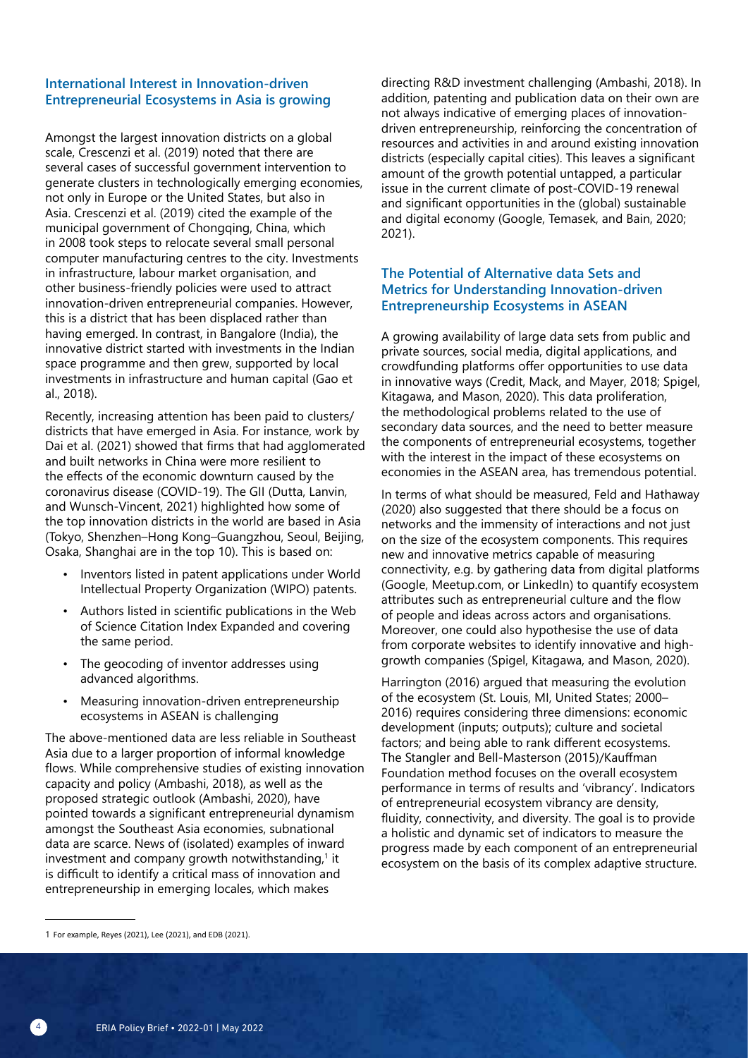#### **International Interest in Innovation-driven Entrepreneurial Ecosystems in Asia is growing**

Amongst the largest innovation districts on a global scale, Crescenzi et al. (2019) noted that there are several cases of successful government intervention to generate clusters in technologically emerging economies, not only in Europe or the United States, but also in Asia. Crescenzi et al. (2019) cited the example of the municipal government of Chongqing, China, which in 2008 took steps to relocate several small personal computer manufacturing centres to the city. Investments in infrastructure, labour market organisation, and other business-friendly policies were used to attract innovation-driven entrepreneurial companies. However, this is a district that has been displaced rather than having emerged. In contrast, in Bangalore (India), the innovative district started with investments in the Indian space programme and then grew, supported by local investments in infrastructure and human capital (Gao et al., 2018).

Recently, increasing attention has been paid to clusters/ districts that have emerged in Asia. For instance, work by Dai et al. (2021) showed that firms that had agglomerated and built networks in China were more resilient to the effects of the economic downturn caused by the coronavirus disease (COVID-19). The GII (Dutta, Lanvin, and Wunsch-Vincent, 2021) highlighted how some of the top innovation districts in the world are based in Asia (Tokyo, Shenzhen–Hong Kong–Guangzhou, Seoul, Beijing, Osaka, Shanghai are in the top 10). This is based on:

- Inventors listed in patent applications under World Intellectual Property Organization (WIPO) patents.
- Authors listed in scientific publications in the Web of Science Citation Index Expanded and covering the same period.
- The geocoding of inventor addresses using advanced algorithms.
- Measuring innovation-driven entrepreneurship ecosystems in ASEAN is challenging

The above-mentioned data are less reliable in Southeast Asia due to a larger proportion of informal knowledge flows. While comprehensive studies of existing innovation capacity and policy (Ambashi, 2018), as well as the proposed strategic outlook (Ambashi, 2020), have pointed towards a significant entrepreneurial dynamism amongst the Southeast Asia economies, subnational data are scarce. News of (isolated) examples of inward investment and company growth notwithstanding,<sup>1</sup> it is difficult to identify a critical mass of innovation and entrepreneurship in emerging locales, which makes

directing R&D investment challenging (Ambashi, 2018). In addition, patenting and publication data on their own are not always indicative of emerging places of innovationdriven entrepreneurship, reinforcing the concentration of resources and activities in and around existing innovation districts (especially capital cities). This leaves a significant amount of the growth potential untapped, a particular issue in the current climate of post-COVID-19 renewal and significant opportunities in the (global) sustainable and digital economy (Google, Temasek, and Bain, 2020; 2021).

#### **The Potential of Alternative data Sets and Metrics for Understanding Innovation-driven Entrepreneurship Ecosystems in ASEAN**

A growing availability of large data sets from public and private sources, social media, digital applications, and crowdfunding platforms offer opportunities to use data in innovative ways (Credit, Mack, and Mayer, 2018; Spigel, Kitagawa, and Mason, 2020). This data proliferation, the methodological problems related to the use of secondary data sources, and the need to better measure the components of entrepreneurial ecosystems, together with the interest in the impact of these ecosystems on economies in the ASEAN area, has tremendous potential.

In terms of what should be measured, Feld and Hathaway (2020) also suggested that there should be a focus on networks and the immensity of interactions and not just on the size of the ecosystem components. This requires new and innovative metrics capable of measuring connectivity, e.g. by gathering data from digital platforms (Google, Meetup.com, or LinkedIn) to quantify ecosystem attributes such as entrepreneurial culture and the flow of people and ideas across actors and organisations. Moreover, one could also hypothesise the use of data from corporate websites to identify innovative and highgrowth companies (Spigel, Kitagawa, and Mason, 2020).

Harrington (2016) argued that measuring the evolution of the ecosystem (St. Louis, MI, United States; 2000– 2016) requires considering three dimensions: economic development (inputs; outputs); culture and societal factors; and being able to rank different ecosystems. The Stangler and Bell-Masterson (2015)/Kauffman Foundation method focuses on the overall ecosystem performance in terms of results and 'vibrancy'. Indicators of entrepreneurial ecosystem vibrancy are density, fluidity, connectivity, and diversity. The goal is to provide a holistic and dynamic set of indicators to measure the progress made by each component of an entrepreneurial ecosystem on the basis of its complex adaptive structure.

<sup>1</sup> For example, Reyes (2021), Lee (2021), and EDB (2021).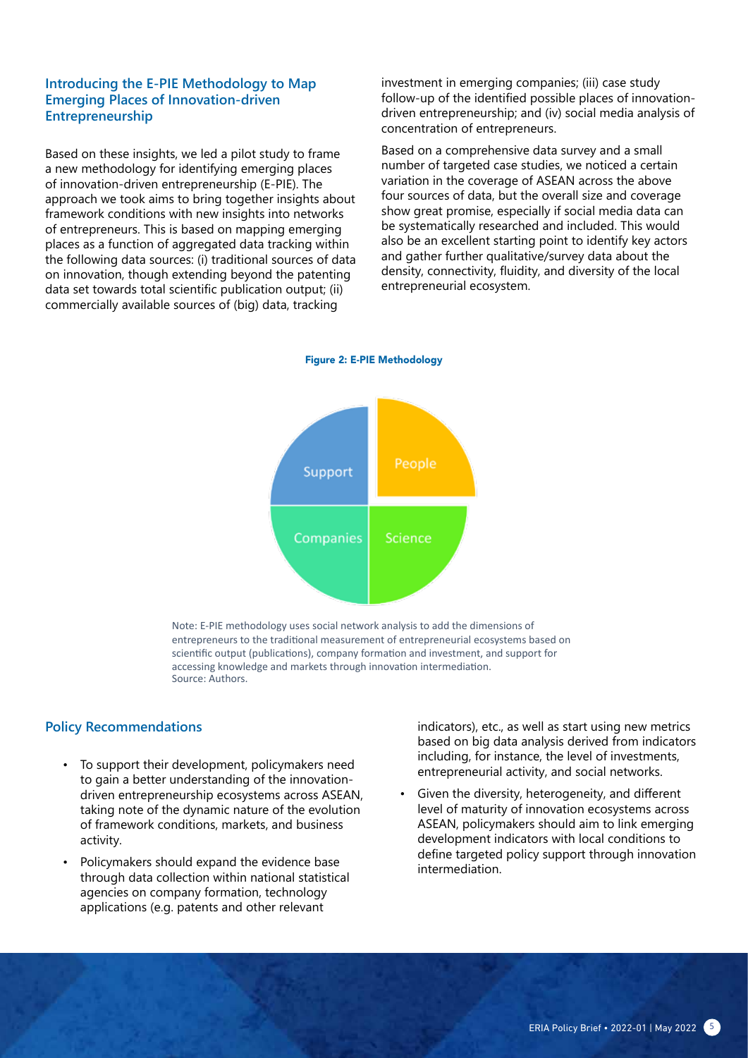#### **Introducing the E-PIE Methodology to Map Emerging Places of Innovation-driven Entrepreneurship**

Based on these insights, we led a pilot study to frame a new methodology for identifying emerging places of innovation-driven entrepreneurship (E-PIE). The approach we took aims to bring together insights about framework conditions with new insights into networks of entrepreneurs. This is based on mapping emerging places as a function of aggregated data tracking within the following data sources: (i) traditional sources of data on innovation, though extending beyond the patenting data set towards total scientific publication output; (ii) commercially available sources of (big) data, tracking

investment in emerging companies; (iii) case study follow-up of the identified possible places of innovationdriven entrepreneurship; and (iv) social media analysis of concentration of entrepreneurs.

Based on a comprehensive data survey and a small number of targeted case studies, we noticed a certain variation in the coverage of ASEAN across the above four sources of data, but the overall size and coverage show great promise, especially if social media data can be systematically researched and included. This would also be an excellent starting point to identify key actors and gather further qualitative/survey data about the density, connectivity, fluidity, and diversity of the local entrepreneurial ecosystem.





Note: E-PIE methodology uses social network analysis to add the dimensions of entrepreneurs to the traditional measurement of entrepreneurial ecosystems based on scientific output (publications), company formation and investment, and support for accessing knowledge and markets through innovation intermediation. Source: Authors.

#### **Policy Recommendations**

- To support their development, policymakers need to gain a better understanding of the innovationdriven entrepreneurship ecosystems across ASEAN, taking note of the dynamic nature of the evolution of framework conditions, markets, and business activity.
- Policymakers should expand the evidence base through data collection within national statistical agencies on company formation, technology applications (e.g. patents and other relevant

indicators), etc., as well as start using new metrics based on big data analysis derived from indicators including, for instance, the level of investments, entrepreneurial activity, and social networks.

Given the diversity, heterogeneity, and different level of maturity of innovation ecosystems across ASEAN, policymakers should aim to link emerging development indicators with local conditions to define targeted policy support through innovation intermediation.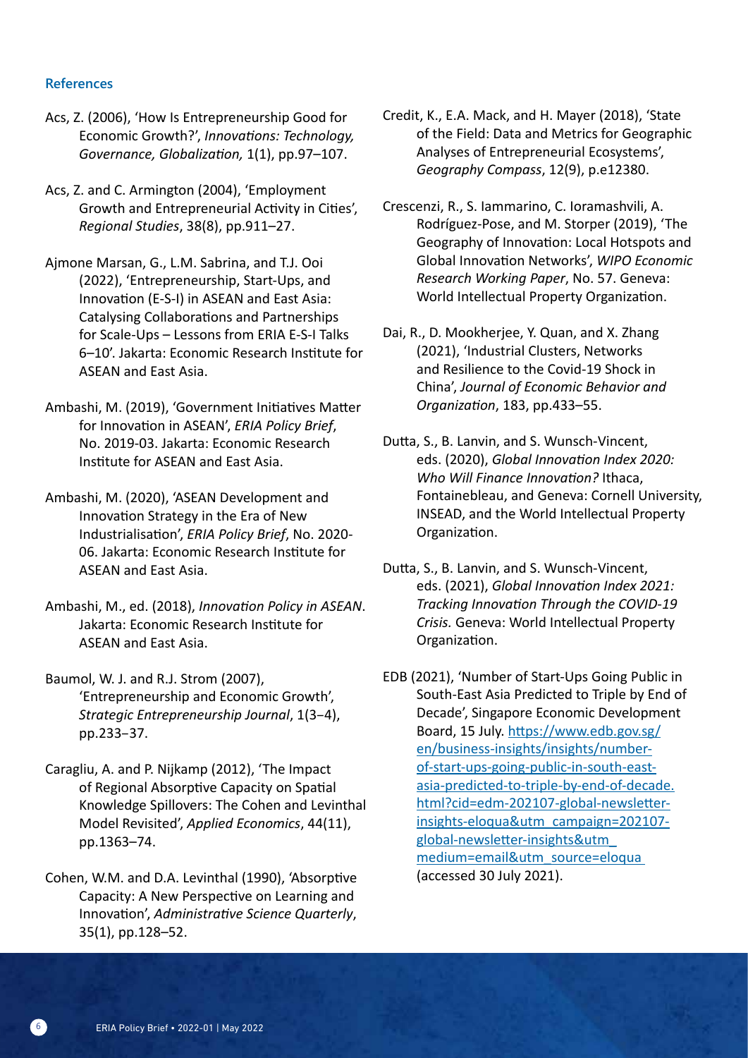#### **References**

- Acs, Z. (2006), 'How Is Entrepreneurship Good for Economic Growth?', *Innovations: Technology, Governance, Globalization,* 1(1), pp.97–107.
- Acs, Z. and C. Armington (2004), 'Employment Growth and Entrepreneurial Activity in Cities', *Regional Studies*, 38(8), pp.911–27.
- Ajmone Marsan, G., L.M. Sabrina, and T.J. Ooi (2022), 'Entrepreneurship, Start-Ups, and Innovation (E-S-I) in ASEAN and East Asia: Catalysing Collaborations and Partnerships for Scale-Ups – Lessons from ERIA E-S-I Talks 6–10'. Jakarta: Economic Research Institute for ASEAN and East Asia.
- Ambashi, M. (2019), 'Government Initiatives Matter for Innovation in ASEAN', *ERIA Policy Brief*, No. 2019-03. Jakarta: Economic Research Institute for ASEAN and East Asia.
- Ambashi, M. (2020), 'ASEAN Development and Innovation Strategy in the Era of New Industrialisation', *ERIA Policy Brief*, No. 2020- 06. Jakarta: Economic Research Institute for ASEAN and East Asia.
- Ambashi, M., ed. (2018), *Innovation Policy in ASEAN*. Jakarta: Economic Research Institute for ASEAN and East Asia.
- Baumol, W. J. and R.J. Strom (2007), 'Entrepreneurship and Economic Growth', *Strategic Entrepreneurship Journal*, 1(3–4), pp.233–37.
- Caragliu, A. and P. Nijkamp (2012), 'The Impact of Regional Absorptive Capacity on Spatial Knowledge Spillovers: The Cohen and Levinthal Model Revisited', *Applied Economics*, 44(11), pp.1363–74.
- Cohen, W.M. and D.A. Levinthal (1990), 'Absorptive Capacity: A New Perspective on Learning and Innovation', *Administrative Science Quarterly*, 35(1), pp.128–52.
- Credit, K., E.A. Mack, and H. Mayer (2018), 'State of the Field: Data and Metrics for Geographic Analyses of Entrepreneurial Ecosystems', *Geography Compass*, 12(9), p.e12380.
- Crescenzi, R., S. Iammarino, C. Ioramashvili, A. Rodríguez-Pose, and M. Storper (2019), 'The Geography of Innovation: Local Hotspots and Global Innovation Networks', *WIPO Economic Research Working Paper*, No. 57. Geneva: World Intellectual Property Organization.
- Dai, R., D. Mookherjee, Y. Quan, and X. Zhang (2021), 'Industrial Clusters, Networks and Resilience to the Covid-19 Shock in China', *Journal of Economic Behavior and Organization*, 183, pp.433–55.
- Dutta, S., B. Lanvin, and S. Wunsch-Vincent, eds. (2020), *Global Innovation Index 2020: Who Will Finance Innovation?* Ithaca, Fontainebleau, and Geneva: Cornell University, INSEAD, and the World Intellectual Property Organization.
- Dutta, S., B. Lanvin, and S. Wunsch-Vincent, eds. (2021), *Global Innovation Index 2021: Tracking Innovation Through the COVID-19 Crisis.* Geneva: World Intellectual Property Organization.
- EDB (2021), 'Number of Start-Ups Going Public in South-East Asia Predicted to Triple by End of Decade', Singapore Economic Development Board, 15 July. https://www.edb.gov.sg/ en/business-insights/insights/numberof-start-ups-going-public-in-south-eastasia-predicted-to-triple-by-end-of-decade. html?cid=edm-202107-global-newsletterinsights-eloqua&utm\_campaign=202107 global-newsletter-insights&utm\_ medium=email&utm\_source=eloqua (accessed 30 July 2021).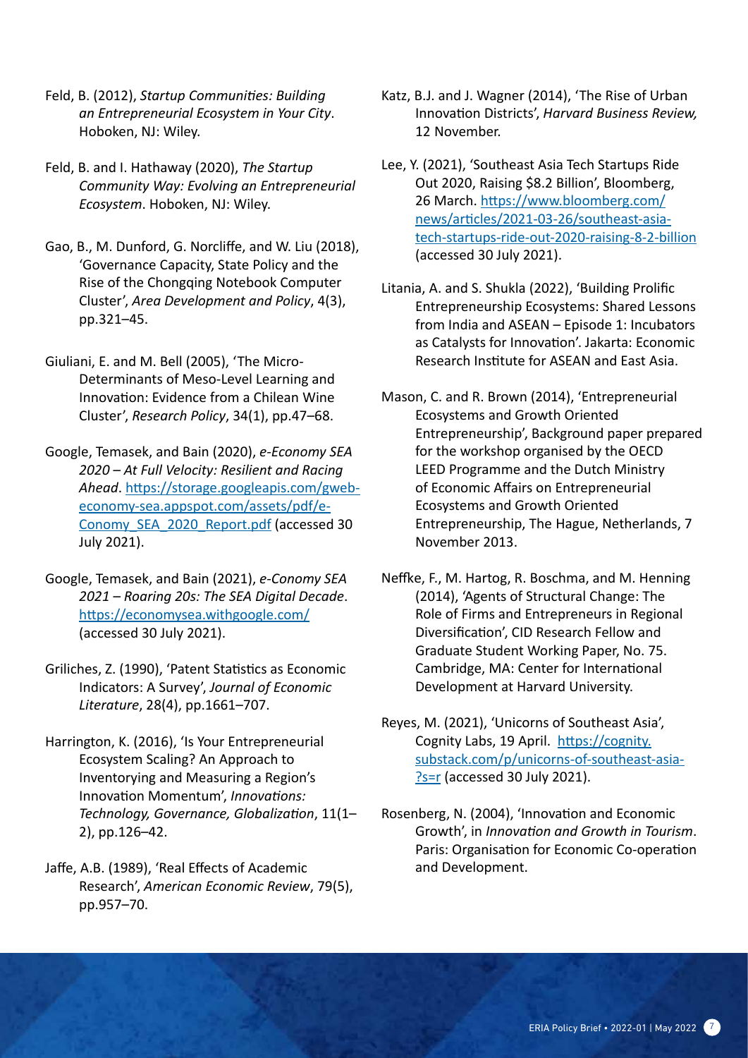- Feld, B. (2012), *Startup Communities: Building an Entrepreneurial Ecosystem in Your City*. Hoboken, NJ: Wiley.
- Feld, B. and I. Hathaway (2020), *The Startup Community Way: Evolving an Entrepreneurial Ecosystem*. Hoboken, NJ: Wiley.
- Gao, B., M. Dunford, G. Norcliffe, and W. Liu (2018), 'Governance Capacity, State Policy and the Rise of the Chongqing Notebook Computer Cluster', *Area Development and Policy*, 4(3), pp.321–45.
- Giuliani, E. and M. Bell (2005), 'The Micro-Determinants of Meso-Level Learning and Innovation: Evidence from a Chilean Wine Cluster', *Research Policy*, 34(1), pp.47–68.
- Google, Temasek, and Bain (2020), *e-Economy SEA 2020 – At Full Velocity: Resilient and Racing Ahead*. https://storage.googleapis.com/gwebeconomy-sea.appspot.com/assets/pdf/e-Conomy\_SEA\_2020\_Report.pdf (accessed 30 July 2021).
- Google, Temasek, and Bain (2021), *e-Conomy SEA 2021 – Roaring 20s: The SEA Digital Decade*. https://economysea.withgoogle.com/ (accessed 30 July 2021).
- Griliches, Z. (1990), 'Patent Statistics as Economic Indicators: A Survey', *Journal of Economic Literature*, 28(4), pp.1661–707.
- Harrington, K. (2016), 'Is Your Entrepreneurial Ecosystem Scaling? An Approach to Inventorying and Measuring a Region's Innovation Momentum', *Innovations: Technology, Governance, Globalization*, 11(1– 2), pp.126–42.
- Jaffe, A.B. (1989), 'Real Effects of Academic Research', *American Economic Review*, 79(5), pp.957–70.
- Katz, B.J. and J. Wagner (2014), 'The Rise of Urban Innovation Districts', *Harvard Business Review,*  12 November.
- Lee, Y. (2021), 'Southeast Asia Tech Startups Ride Out 2020, Raising \$8.2 Billion', Bloomberg, 26 March. https://www.bloomberg.com/ news/articles/2021-03-26/southeast-asiatech-startups-ride-out-2020-raising-8-2-billion (accessed 30 July 2021).
- Litania, A. and S. Shukla (2022), 'Building Prolific Entrepreneurship Ecosystems: Shared Lessons from India and ASEAN – Episode 1: Incubators as Catalysts for Innovation'. Jakarta: Economic Research Institute for ASEAN and East Asia.
- Mason, C. and R. Brown (2014), 'Entrepreneurial Ecosystems and Growth Oriented Entrepreneurship', Background paper prepared for the workshop organised by the OECD LEED Programme and the Dutch Ministry of Economic Affairs on Entrepreneurial Ecosystems and Growth Oriented Entrepreneurship, The Hague, Netherlands, 7 November 2013.
- Neffke, F., M. Hartog, R. Boschma, and M. Henning (2014), 'Agents of Structural Change: The Role of Firms and Entrepreneurs in Regional Diversification', CID Research Fellow and Graduate Student Working Paper, No. 75. Cambridge, MA: Center for International Development at Harvard University.
- Reyes, M. (2021), 'Unicorns of Southeast Asia', Cognity Labs, 19 April. https://cognity. substack.com/p/unicorns-of-southeast-asia- ?s=r (accessed 30 July 2021).
- Rosenberg, N. (2004), 'Innovation and Economic Growth', in *Innovation and Growth in Tourism*. Paris: Organisation for Economic Co-operation and Development.